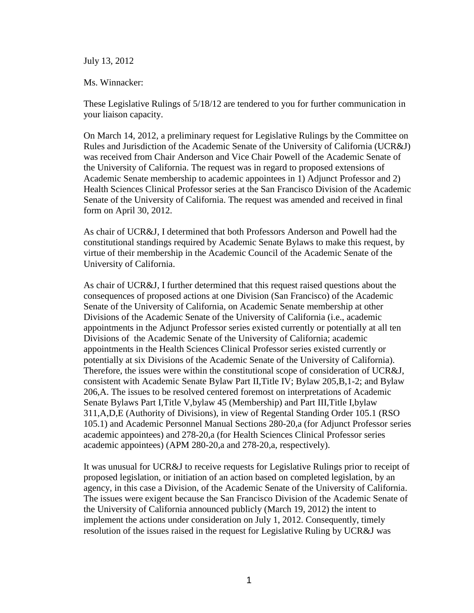# July 13, 2012

# Ms. Winnacker:

These Legislative Rulings of 5/18/12 are tendered to you for further communication in your liaison capacity.

On March 14, 2012, a preliminary request for Legislative Rulings by the Committee on Rules and Jurisdiction of the Academic Senate of the University of California (UCR&J) was received from Chair Anderson and Vice Chair Powell of the Academic Senate of the University of California. The request was in regard to proposed extensions of Academic Senate membership to academic appointees in 1) Adjunct Professor and 2) Health Sciences Clinical Professor series at the San Francisco Division of the Academic Senate of the University of California. The request was amended and received in final form on April 30, 2012.

As chair of UCR&J, I determined that both Professors Anderson and Powell had the constitutional standings required by Academic Senate Bylaws to make this request, by virtue of their membership in the Academic Council of the Academic Senate of the University of California.

As chair of UCR&J, I further determined that this request raised questions about the consequences of proposed actions at one Division (San Francisco) of the Academic Senate of the University of California, on Academic Senate membership at other Divisions of the Academic Senate of the University of California (i.e., academic appointments in the Adjunct Professor series existed currently or potentially at all ten Divisions of the Academic Senate of the University of California; academic appointments in the Health Sciences Clinical Professor series existed currently or potentially at six Divisions of the Academic Senate of the University of California). Therefore, the issues were within the constitutional scope of consideration of UCR&J, consistent with Academic Senate Bylaw Part II,Title IV; Bylaw 205,B,1-2; and Bylaw 206,A. The issues to be resolved centered foremost on interpretations of Academic Senate Bylaws Part I,Title V,bylaw 45 (Membership) and Part III,Title I,bylaw 311,A,D,E (Authority of Divisions), in view of Regental Standing Order 105.1 (RSO 105.1) and Academic Personnel Manual Sections 280-20,a (for Adjunct Professor series academic appointees) and 278-20,a (for Health Sciences Clinical Professor series academic appointees) (APM 280-20,a and 278-20,a, respectively).

It was unusual for UCR&J to receive requests for Legislative Rulings prior to receipt of proposed legislation, or initiation of an action based on completed legislation, by an agency, in this case a Division, of the Academic Senate of the University of California. The issues were exigent because the San Francisco Division of the Academic Senate of the University of California announced publicly (March 19, 2012) the intent to implement the actions under consideration on July 1, 2012. Consequently, timely resolution of the issues raised in the request for Legislative Ruling by UCR&J was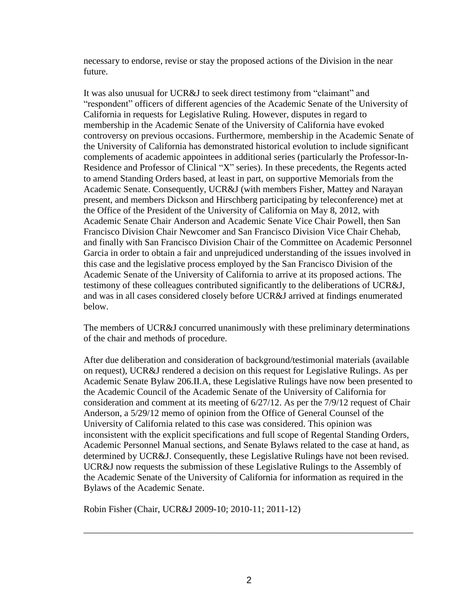necessary to endorse, revise or stay the proposed actions of the Division in the near future.

It was also unusual for UCR&J to seek direct testimony from "claimant" and "respondent" officers of different agencies of the Academic Senate of the University of California in requests for Legislative Ruling. However, disputes in regard to membership in the Academic Senate of the University of California have evoked controversy on previous occasions. Furthermore, membership in the Academic Senate of the University of California has demonstrated historical evolution to include significant complements of academic appointees in additional series (particularly the Professor-In-Residence and Professor of Clinical "X" series). In these precedents, the Regents acted to amend Standing Orders based, at least in part, on supportive Memorials from the Academic Senate. Consequently, UCR&J (with members Fisher, Mattey and Narayan present, and members Dickson and Hirschberg participating by teleconference) met at the Office of the President of the University of California on May 8, 2012, with Academic Senate Chair Anderson and Academic Senate Vice Chair Powell, then San Francisco Division Chair Newcomer and San Francisco Division Vice Chair Chehab, and finally with San Francisco Division Chair of the Committee on Academic Personnel Garcia in order to obtain a fair and unprejudiced understanding of the issues involved in this case and the legislative process employed by the San Francisco Division of the Academic Senate of the University of California to arrive at its proposed actions. The testimony of these colleagues contributed significantly to the deliberations of UCR&J, and was in all cases considered closely before UCR&J arrived at findings enumerated below.

The members of UCR&J concurred unanimously with these preliminary determinations of the chair and methods of procedure.

After due deliberation and consideration of background/testimonial materials (available on request), UCR&J rendered a decision on this request for Legislative Rulings. As per Academic Senate Bylaw 206.II.A, these Legislative Rulings have now been presented to the Academic Council of the Academic Senate of the University of California for consideration and comment at its meeting of 6/27/12. As per the 7/9/12 request of Chair Anderson, a 5/29/12 memo of opinion from the Office of General Counsel of the University of California related to this case was considered. This opinion was inconsistent with the explicit specifications and full scope of Regental Standing Orders, Academic Personnel Manual sections, and Senate Bylaws related to the case at hand, as determined by UCR&J. Consequently, these Legislative Rulings have not been revised. UCR&J now requests the submission of these Legislative Rulings to the Assembly of the Academic Senate of the University of California for information as required in the Bylaws of the Academic Senate.

Robin Fisher (Chair, UCR&J 2009-10; 2010-11; 2011-12)

\_\_\_\_\_\_\_\_\_\_\_\_\_\_\_\_\_\_\_\_\_\_\_\_\_\_\_\_\_\_\_\_\_\_\_\_\_\_\_\_\_\_\_\_\_\_\_\_\_\_\_\_\_\_\_\_\_\_\_\_\_\_\_\_\_\_\_\_\_\_\_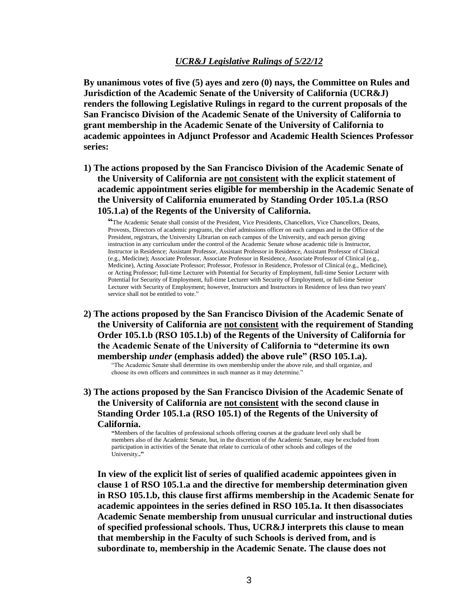# *UCR&J Legislative Rulings of 5/22/12*

**By unanimous votes of five (5) ayes and zero (0) nays, the Committee on Rules and Jurisdiction of the Academic Senate of the University of California (UCR&J) renders the following Legislative Rulings in regard to the current proposals of the San Francisco Division of the Academic Senate of the University of California to grant membership in the Academic Senate of the University of California to academic appointees in Adjunct Professor and Academic Health Sciences Professor series:**

**1) The actions proposed by the San Francisco Division of the Academic Senate of the University of California are not consistent with the explicit statement of academic appointment series eligible for membership in the Academic Senate of the University of California enumerated by Standing Order 105.1.a (RSO 105.1.a) of the Regents of the University of California.** 

**"**The Academic Senate shall consist of the President, Vice Presidents, Chancellors, Vice Chancellors, Deans, Provosts, Directors of academic programs, the chief admissions officer on each campus and in the Office of the President, registrars, the University Librarian on each campus of the University, and each person giving instruction in any curriculum under the control of the Academic Senate whose academic title is Instructor, Instructor in Residence; Assistant Professor, Assistant Professor in Residence, Assistant Professor of Clinical (e.g., Medicine); Associate Professor, Associate Professor in Residence, Associate Professor of Clinical (e.g., Medicine), Acting Associate Professor; Professor, Professor in Residence, Professor of Clinical (e.g., Medicine), or Acting Professor; full-time Lecturer with Potential for Security of Employment, full-time Senior Lecturer with Potential for Security of Employment, full-time Lecturer with Security of Employment, or full-time Senior Lecturer with Security of Employment; however, Instructors and Instructors in Residence of less than two years' service shall not be entitled to vote."

**2) The actions proposed by the San Francisco Division of the Academic Senate of the University of California are not consistent with the requirement of Standing Order 105.1.b (RSO 105.1.b) of the Regents of the University of California for the Academic Senate of the University of California to "determine its own membership** *under* **(emphasis added) the above rule" (RSO 105.1.a).**

"The Academic Senate shall determine its own membership under the above rule, and shall organize, and choose its own officers and committees in such manner as it may determine."

**3) The actions proposed by the San Francisco Division of the Academic Senate of the University of California are not consistent with the second clause in Standing Order 105.1.a (RSO 105.1) of the Regents of the University of California.**

**"**Members of the faculties of professional schools offering courses at the graduate level only shall be members also of the Academic Senate, but, in the discretion of the Academic Senate, may be excluded from participation in activities of the Senate that relate to curricula of other schools and colleges of the University.**."** 

**In view of the explicit list of series of qualified academic appointees given in clause 1 of RSO 105.1.a and the directive for membership determination given in RSO 105.1.b, this clause first affirms membership in the Academic Senate for academic appointees in the series defined in RSO 105.1a. It then disassociates Academic Senate membership from unusual curricular and instructional duties of specified professional schools. Thus, UCR&J interprets this clause to mean that membership in the Faculty of such Schools is derived from, and is subordinate to, membership in the Academic Senate. The clause does not**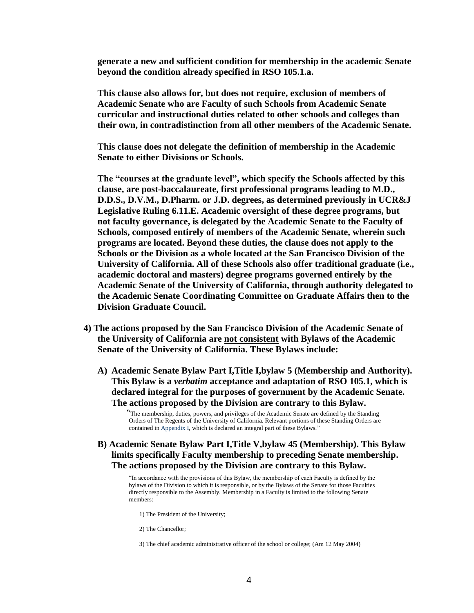**generate a new and sufficient condition for membership in the academic Senate beyond the condition already specified in RSO 105.1.a.**

**This clause also allows for, but does not require, exclusion of members of Academic Senate who are Faculty of such Schools from Academic Senate curricular and instructional duties related to other schools and colleges than their own, in contradistinction from all other members of the Academic Senate.** 

**This clause does not delegate the definition of membership in the Academic Senate to either Divisions or Schools.** 

**The "courses at the graduate level", which specify the Schools affected by this clause, are post-baccalaureate, first professional programs leading to M.D., D.D.S., D.V.M., D.Pharm. or J.D. degrees, as determined previously in UCR&J Legislative Ruling 6.11.E. Academic oversight of these degree programs, but not faculty governance, is delegated by the Academic Senate to the Faculty of Schools, composed entirely of members of the Academic Senate, wherein such programs are located. Beyond these duties, the clause does not apply to the Schools or the Division as a whole located at the San Francisco Division of the University of California. All of these Schools also offer traditional graduate (i.e., academic doctoral and masters) degree programs governed entirely by the Academic Senate of the University of California, through authority delegated to the Academic Senate Coordinating Committee on Graduate Affairs then to the Division Graduate Council.** 

- **4) The actions proposed by the San Francisco Division of the Academic Senate of the University of California are not consistent with Bylaws of the Academic Senate of the University of California. These Bylaws include:** 
	- **A) Academic Senate Bylaw Part I,Title I,bylaw 5 (Membership and Authority). This Bylaw is a** *verbatim* **acceptance and adaptation of RSO 105.1, which is declared integral for the purposes of government by the Academic Senate. The actions proposed by the Division are contrary to this Bylaw.**

"The membership, duties, powers, and privileges of the Academic Senate are defined by the Standing Orders of The Regents of the University of California. Relevant portions of these Standing Orders are contained in [Appendix I,](http://www.universityofcalifornia.edu/senate/manual/appendix1.html) which is declared an integral part of these Bylaws."

 **B) Academic Senate Bylaw Part I,Title V,bylaw 45 (Membership). This Bylaw limits specifically Faculty membership to preceding Senate membership. The actions proposed by the Division are contrary to this Bylaw.**

"In accordance with the provisions of this Bylaw, the membership of each Faculty is defined by the bylaws of the Division to which it is responsible, or by the Bylaws of the Senate for those Faculties directly responsible to the Assembly. Membership in a Faculty is limited to the following Senate members:

1) The President of the University;

2) The Chancellor;

3) The chief academic administrative officer of the school or college; (Am 12 May 2004)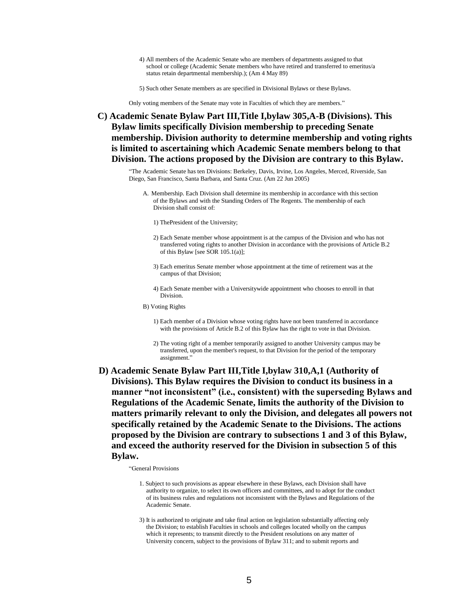- 4) All members of the Academic Senate who are members of departments assigned to that school or college (Academic Senate members who have retired and transferred to emeritus/a status retain departmental membership.); (Am 4 May 89)
- 5) Such other Senate members as are specified in Divisional Bylaws or these Bylaws.

Only voting members of the Senate may vote in Faculties of which they are members."

**C) Academic Senate Bylaw Part III,Title I,bylaw 305,A-B (Divisions). This Bylaw limits specifically Division membership to preceding Senate membership. Division authority to determine membership and voting rights is limited to ascertaining which Academic Senate members belong to that Division. The actions proposed by the Division are contrary to this Bylaw.**

"The Academic Senate has ten Divisions: Berkeley, Davis, Irvine, Los Angeles, Merced, Riverside, San Diego, San Francisco, Santa Barbara, and Santa Cruz. (Am 22 Jun 2005)

- A. Membership. Each Division shall determine its membership in accordance with this section of the Bylaws and with the Standing Orders of The Regents. The membership of each Division shall consist of:
	- 1) ThePresident of the University;
	- 2) Each Senate member whose appointment is at the campus of the Division and who has not transferred voting rights to another Division in accordance with the provisions of Article B.2 of this Bylaw [see SOR 105.1(a)];
	- 3) Each emeritus Senate member whose appointment at the time of retirement was at the campus of that Division;
	- 4) Each Senate member with a Universitywide appointment who chooses to enroll in that Division.
- B) Voting Rights
	- 1) Each member of a Division whose voting rights have not been transferred in accordance with the provisions of Article B.2 of this Bylaw has the right to vote in that Division.
	- 2) The voting right of a member temporarily assigned to another University campus may be transferred, upon the member's request, to that Division for the period of the temporary assignment."
- **D) Academic Senate Bylaw Part III,Title I,bylaw 310,A,1 (Authority of Divisions). This Bylaw requires the Division to conduct its business in a manner "not inconsistent" (i.e., consistent) with the superseding Bylaws and Regulations of the Academic Senate, limits the authority of the Division to matters primarily relevant to only the Division, and delegates all powers not specifically retained by the Academic Senate to the Divisions. The actions proposed by the Division are contrary to subsections 1 and 3 of this Bylaw, and exceed the authority reserved for the Division in subsection 5 of this Bylaw.**

"General Provisions

- 1. Subject to such provisions as appear elsewhere in these Bylaws, each Division shall have authority to organize, to select its own officers and committees, and to adopt for the conduct of its business rules and regulations not inconsistent with the Bylaws and Regulations of the Academic Senate.
- 3) It is authorized to originate and take final action on legislation substantially affecting only the Division; to establish Faculties in schools and colleges located wholly on the campus which it represents; to transmit directly to the President resolutions on any matter of University concern, subject to the provisions of Bylaw 311; and to submit reports and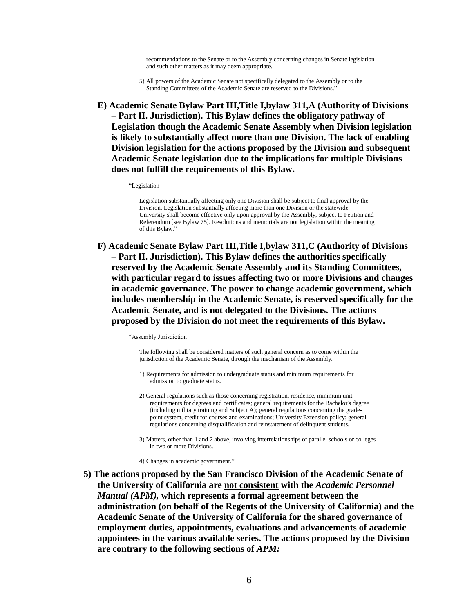recommendations to the Senate or to the Assembly concerning changes in Senate legislation and such other matters as it may deem appropriate.

5) All powers of the Academic Senate not specifically delegated to the Assembly or to the Standing Committees of the Academic Senate are reserved to the Divisions."

**E) Academic Senate Bylaw Part III,Title I,bylaw 311,A (Authority of Divisions – Part II. Jurisdiction). This Bylaw defines the obligatory pathway of Legislation though the Academic Senate Assembly when Division legislation is likely to substantially affect more than one Division. The lack of enabling Division legislation for the actions proposed by the Division and subsequent Academic Senate legislation due to the implications for multiple Divisions does not fulfill the requirements of this Bylaw.**

"Legislation

Legislation substantially affecting only one Division shall be subject to final approval by the Division. Legislation substantially affecting more than one Division or the statewide University shall become effective only upon approval by the Assembly, subject to Petition and Referendum [see Bylaw 75]. Resolutions and memorials are not legislation within the meaning of this Bylaw."

**F) Academic Senate Bylaw Part III,Title I,bylaw 311,C (Authority of Divisions – Part II. Jurisdiction). This Bylaw defines the authorities specifically reserved by the Academic Senate Assembly and its Standing Committees, with particular regard to issues affecting two or more Divisions and changes in academic governance. The power to change academic government, which includes membership in the Academic Senate, is reserved specifically for the Academic Senate, and is not delegated to the Divisions. The actions proposed by the Division do not meet the requirements of this Bylaw.**

"Assembly Jurisdiction

The following shall be considered matters of such general concern as to come within the jurisdiction of the Academic Senate, through the mechanism of the Assembly.

- 1) Requirements for admission to undergraduate status and minimum requirements for admission to graduate status.
- 2) General regulations such as those concerning registration, residence, minimum unit requirements for degrees and certificates; general requirements for the Bachelor's degree (including military training and Subject A); general regulations concerning the gradepoint system, credit for courses and examinations; University Extension policy; general regulations concerning disqualification and reinstatement of delinquent students.
- 3) Matters, other than 1 and 2 above, involving interrelationships of parallel schools or colleges in two or more Divisions.

4) Changes in academic government."

**5) The actions proposed by the San Francisco Division of the Academic Senate of the University of California are not consistent with the** *Academic Personnel Manual (APM),* **which represents a formal agreement between the administration (on behalf of the Regents of the University of California) and the Academic Senate of the University of California for the shared governance of employment duties, appointments, evaluations and advancements of academic appointees in the various available series. The actions proposed by the Division are contrary to the following sections of** *APM:*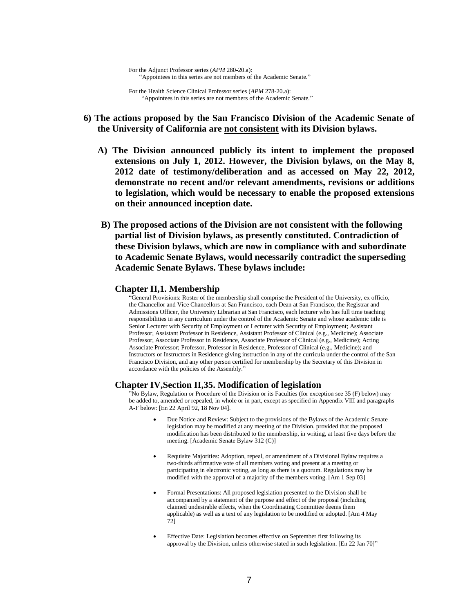For the Health Science Clinical Professor series (*APM* 278-20.a): "Appointees in this series are not members of the Academic Senate."

- **6) The actions proposed by the San Francisco Division of the Academic Senate of the University of California are not consistent with its Division bylaws.**
	- **A) The Division announced publicly its intent to implement the proposed extensions on July 1, 2012. However, the Division bylaws, on the May 8, 2012 date of testimony/deliberation and as accessed on May 22, 2012, demonstrate no recent and/or relevant amendments, revisions or additions to legislation, which would be necessary to enable the proposed extensions on their announced inception date.**
	- **B) The proposed actions of the Division are not consistent with the following partial list of Division bylaws, as presently constituted. Contradiction of these Division bylaws, which are now in compliance with and subordinate to Academic Senate Bylaws, would necessarily contradict the superseding Academic Senate Bylaws. These bylaws include:**

### **Chapter II,1. Membership**

"General Provisions: Roster of the membership shall comprise the President of the University, ex officio, the Chancellor and Vice Chancellors at San Francisco, each Dean at San Francisco, the Registrar and Admissions Officer, the University Librarian at San Francisco, each lecturer who has full time teaching responsibilities in any curriculum under the control of the Academic Senate and whose academic title is Senior Lecturer with Security of Employment or Lecturer with Security of Employment; Assistant Professor, Assistant Professor in Residence, Assistant Professor of Clinical (e.g., Medicine); Associate Professor, Associate Professor in Residence, Associate Professor of Clinical (e.g., Medicine); Acting Associate Professor; Professor, Professor in Residence, Professor of Clinical (e.g., Medicine); and Instructors or Instructors in Residence giving instruction in any of the curricula under the control of the San Francisco Division, and any other person certified for membership by the Secretary of this Division in accordance with the policies of the Assembly."

#### **Chapter IV,Section II,35. Modification of legislation**

"No Bylaw, Regulation or Procedure of the Division or its Faculties (for exception see 35 (F) below) may be added to, amended or repealed, in whole or in part, except as specified in Appendix VIII and paragraphs A-F below: [En 22 April 92, 18 Nov 04].

- Due Notice and Review: Subject to the provisions of the Bylaws of the Academic Senate legislation may be modified at any meeting of the Division, provided that the proposed modification has been distributed to the membership, in writing, at least five days before the meeting. [Academic Senate Bylaw 312 (C)]
- Requisite Majorities: Adoption, repeal, or amendment of a Divisional Bylaw requires a two-thirds affirmative vote of all members voting and present at a meeting or participating in electronic voting, as long as there is a quorum. Regulations may be modified with the approval of a majority of the members voting. [Am 1 Sep 03]
- Formal Presentations: All proposed legislation presented to the Division shall be accompanied by a statement of the purpose and effect of the proposal (including claimed undesirable effects, when the Coordinating Committee deems them applicable) as well as a text of any legislation to be modified or adopted. [Am 4 May 72]
- Effective Date: Legislation becomes effective on September first following its approval by the Division, unless otherwise stated in such legislation. [En 22 Jan 70]"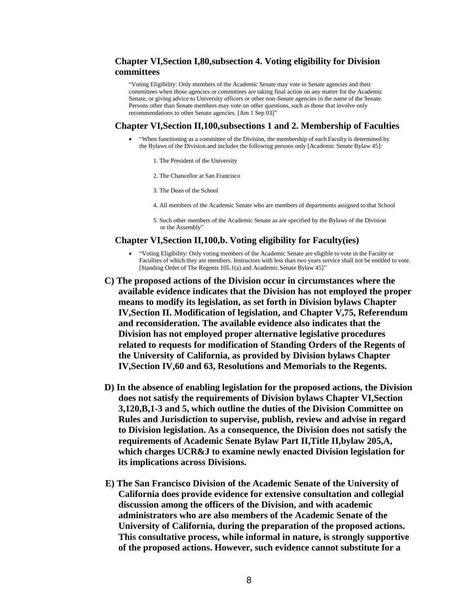## **Chapter VI,Section I,80,subsection 4. Voting eligibility for Division committees**

"Voting Eligibility: Only members of the Academic Senate may vote in Senate agencies and their committees when those agencies or committees are taking final action on any matter for the Academic Senate, or giving advice to University officers or other non-Senate agencies in the name of the Senate. Persons other than Senate members may vote on other questions, such as those that involve only recommendations to other Senate agencies. [Am 1 Sep 03]"

#### **Chapter VI,Section II,100,subsections 1 and 2. Membership of Faculties**

- "When functioning as a committee of the Division, the membership of each Faculty is determined by the Bylaws of the Division and includes the following persons only [Academic Senate Bylaw 45]:
	- 1. The President of the University
	- 2. The Chancellor at San Francisco
	- 3. The Dean of the School
	- 4. All members of the Academic Senate who are members of departments assigned to that School
	- 5. Such other members of the Academic Senate as are specified by the Bylaws of the Division or the Assembly"

### **Chapter VI,Section II,100,b. Voting eligibility for Faculty(ies)**

- "Voting Eligibility: Only voting members of the Academic Senate are eligible to vote in the Faculty or Faculties of which they are members. Instructors with less than two years service shall not be entitled to vote. [Standing Order of The Regents 105.1(a) and Academic Senate Bylaw 45]"
- **C) The proposed actions of the Division occur in circumstances where the available evidence indicates that the Division has not employed the proper means to modify its legislation, as set forth in Division bylaws Chapter IV,Section II. Modification of legislation, and Chapter V,75, Referendum and reconsideration. The available evidence also indicates that the Division has not employed proper alternative legislative procedures related to requests for modification of Standing Orders of the Regents of the University of California, as provided by Division bylaws Chapter IV,Section IV,60 and 63, Resolutions and Memorials to the Regents.**
- **D) In the absence of enabling legislation for the proposed actions, the Division does not satisfy the requirements of Division bylaws Chapter VI,Section 3,120,B,1-3 and 5, which outline the duties of the Division Committee on Rules and Jurisdiction to supervise, publish, review and advise in regard to Division legislation. As a consequence, the Division does not satisfy the requirements of Academic Senate Bylaw Part II,Title II,bylaw 205,A, which charges UCR&J to examine newly enacted Division legislation for its implications across Divisions.**
- **E) The San Francisco Division of the Academic Senate of the University of California does provide evidence for extensive consultation and collegial discussion among the officers of the Division, and with academic administrators who are also members of the Academic Senate of the University of California, during the preparation of the proposed actions. This consultative process, while informal in nature, is strongly supportive of the proposed actions. However, such evidence cannot substitute for a**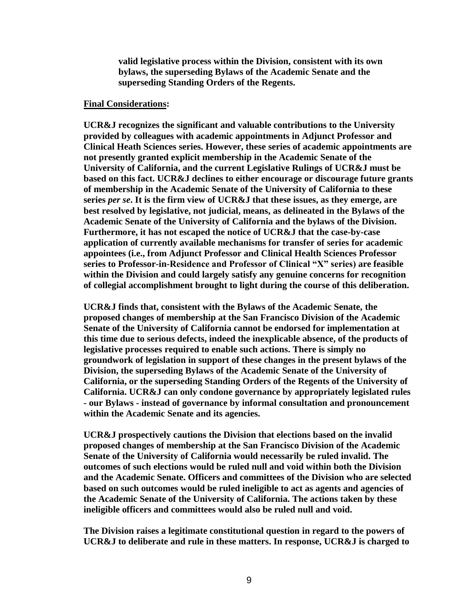**valid legislative process within the Division, consistent with its own bylaws, the superseding Bylaws of the Academic Senate and the superseding Standing Orders of the Regents.** 

### **Final Considerations:**

**UCR&J recognizes the significant and valuable contributions to the University provided by colleagues with academic appointments in Adjunct Professor and Clinical Heath Sciences series. However, these series of academic appointments are not presently granted explicit membership in the Academic Senate of the University of California, and the current Legislative Rulings of UCR&J must be based on this fact. UCR&J declines to either encourage or discourage future grants of membership in the Academic Senate of the University of California to these series** *per se***. It is the firm view of UCR&J that these issues, as they emerge, are best resolved by legislative, not judicial, means, as delineated in the Bylaws of the Academic Senate of the University of California and the bylaws of the Division. Furthermore, it has not escaped the notice of UCR&J that the case-by-case application of currently available mechanisms for transfer of series for academic appointees (i.e., from Adjunct Professor and Clinical Health Sciences Professor series to Professor-in-Residence and Professor of Clinical "X" series) are feasible within the Division and could largely satisfy any genuine concerns for recognition of collegial accomplishment brought to light during the course of this deliberation.** 

**UCR&J finds that, consistent with the Bylaws of the Academic Senate, the proposed changes of membership at the San Francisco Division of the Academic Senate of the University of California cannot be endorsed for implementation at this time due to serious defects, indeed the inexplicable absence, of the products of legislative processes required to enable such actions. There is simply no groundwork of legislation in support of these changes in the present bylaws of the Division, the superseding Bylaws of the Academic Senate of the University of California, or the superseding Standing Orders of the Regents of the University of California. UCR&J can only condone governance by appropriately legislated rules - our Bylaws - instead of governance by informal consultation and pronouncement within the Academic Senate and its agencies.** 

**UCR&J prospectively cautions the Division that elections based on the invalid proposed changes of membership at the San Francisco Division of the Academic Senate of the University of California would necessarily be ruled invalid. The outcomes of such elections would be ruled null and void within both the Division and the Academic Senate. Officers and committees of the Division who are selected based on such outcomes would be ruled ineligible to act as agents and agencies of the Academic Senate of the University of California. The actions taken by these ineligible officers and committees would also be ruled null and void.** 

**The Division raises a legitimate constitutional question in regard to the powers of UCR&J to deliberate and rule in these matters. In response, UCR&J is charged to**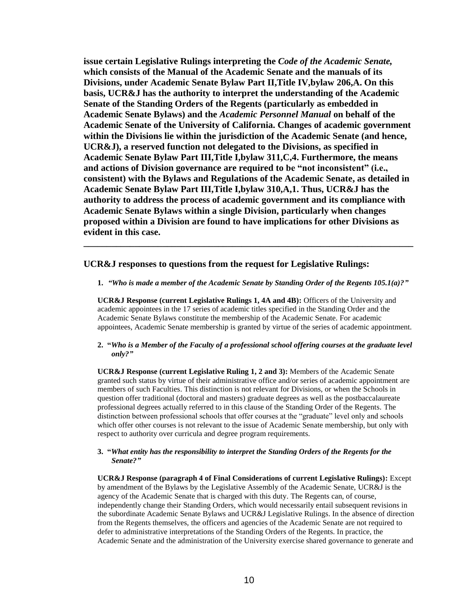**issue certain Legislative Rulings interpreting the** *Code of the Academic Senate,* **which consists of the Manual of the Academic Senate and the manuals of its Divisions, under Academic Senate Bylaw Part II,Title IV,bylaw 206,A. On this basis, UCR&J has the authority to interpret the understanding of the Academic Senate of the Standing Orders of the Regents (particularly as embedded in Academic Senate Bylaws) and the** *Academic Personnel Manual* **on behalf of the Academic Senate of the University of California. Changes of academic government within the Divisions lie within the jurisdiction of the Academic Senate (and hence, UCR&J), a reserved function not delegated to the Divisions, as specified in Academic Senate Bylaw Part III,Title I,bylaw 311,C,4. Furthermore, the means and actions of Division governance are required to be "not inconsistent" (i.e., consistent) with the Bylaws and Regulations of the Academic Senate, as detailed in Academic Senate Bylaw Part III,Title I,bylaw 310,A,1. Thus, UCR&J has the authority to address the process of academic government and its compliance with Academic Senate Bylaws within a single Division, particularly when changes proposed within a Division are found to have implications for other Divisions as evident in this case.**

## **UCR&J responses to questions from the request for Legislative Rulings:**

**1.** *"Who is made a member of the Academic Senate by Standing Order of the Regents 105.1(a)?"*

**\_\_\_\_\_\_\_\_\_\_\_\_\_\_\_\_\_\_\_\_\_\_\_\_\_\_\_\_\_\_\_\_\_\_\_\_\_\_\_\_\_\_\_\_\_\_\_\_\_\_\_\_\_\_\_\_\_\_\_\_\_\_\_\_\_\_\_\_\_\_\_**

**UCR&J Response (current Legislative Rulings 1, 4A and 4B):** Officers of the University and academic appointees in the 17 series of academic titles specified in the Standing Order and the Academic Senate Bylaws constitute the membership of the Academic Senate. For academic appointees, Academic Senate membership is granted by virtue of the series of academic appointment.

### **2. "***Who is a Member of the Faculty of a professional school offering courses at the graduate level only?"*

**UCR&J Response (current Legislative Ruling 1, 2 and 3):** Members of the Academic Senate granted such status by virtue of their administrative office and/or series of academic appointment are members of such Faculties. This distinction is not relevant for Divisions, or when the Schools in question offer traditional (doctoral and masters) graduate degrees as well as the postbaccalaureate professional degrees actually referred to in this clause of the Standing Order of the Regents. The distinction between professional schools that offer courses at the "graduate" level only and schools which offer other courses is not relevant to the issue of Academic Senate membership, but only with respect to authority over curricula and degree program requirements.

### **3. "***What entity has the responsibility to interpret the Standing Orders of the Regents for the Senate?"*

**UCR&J Response (paragraph 4 of Final Considerations of current Legislative Rulings):** Except by amendment of the Bylaws by the Legislative Assembly of the Academic Senate, UCR&J is the agency of the Academic Senate that is charged with this duty. The Regents can, of course, independently change their Standing Orders, which would necessarily entail subsequent revisions in the subordinate Academic Senate Bylaws and UCR&J Legislative Rulings. In the absence of direction from the Regents themselves, the officers and agencies of the Academic Senate are not required to defer to administrative interpretations of the Standing Orders of the Regents. In practice, the Academic Senate and the administration of the University exercise shared governance to generate and